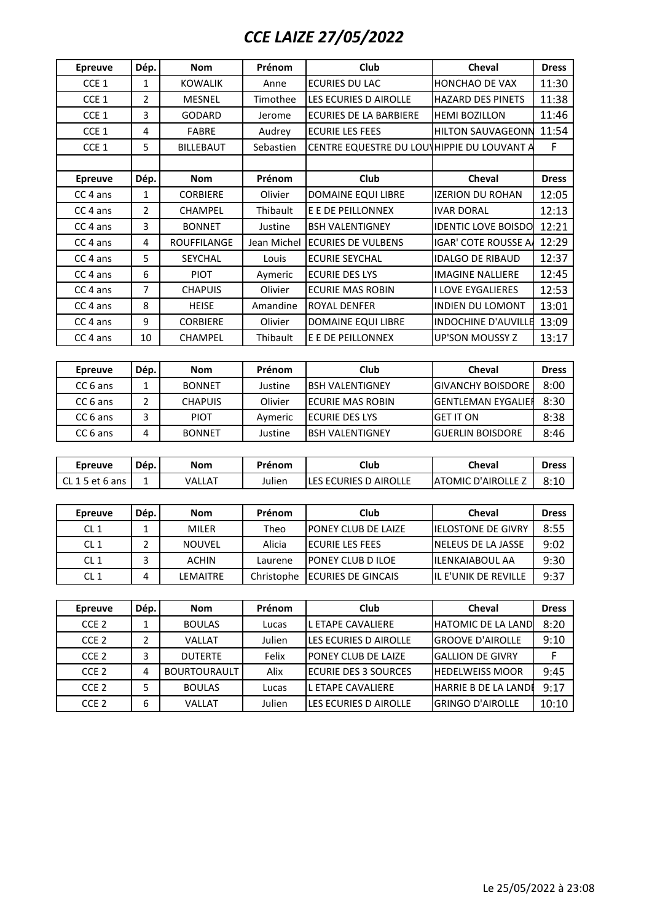## *CCE LAIZE 27/05/2022*

| <b>Epreuve</b>      | Dép.           | <b>Nom</b>          | Prénom      | Club                                       | <b>Cheval</b>              | <b>Dress</b> |
|---------------------|----------------|---------------------|-------------|--------------------------------------------|----------------------------|--------------|
| CCE 1               | 1              | <b>KOWALIK</b>      | Anne        | <b>ECURIES DU LAC</b>                      | HONCHAO DE VAX             | 11:30        |
| CCE 1               | $\overline{2}$ | <b>MESNEL</b>       | Timothee    | LES ECURIES D AIROLLE                      | <b>HAZARD DES PINETS</b>   | 11:38        |
| CCE 1               | 3              | <b>GODARD</b>       | Jerome      | <b>ECURIES DE LA BARBIERE</b>              | <b>HEMI BOZILLON</b>       | 11:46        |
| CCE 1               | $\overline{4}$ | <b>FABRE</b>        | Audrey      | <b>ECURIE LES FEES</b>                     | <b>HILTON SAUVAGEONN</b>   | 11:54        |
| CCE 1               | 5              | <b>BILLEBAUT</b>    | Sebastien   | CENTRE EQUESTRE DU LOU HIPPIE DU LOUVANT A |                            | F            |
|                     |                |                     |             |                                            |                            |              |
| <b>Epreuve</b>      | Dép.           | <b>Nom</b>          | Prénom      | Club                                       | Cheval                     | <b>Dress</b> |
| CC <sub>4</sub> ans | 1              | <b>CORBIERE</b>     | Olivier     | DOMAINE EQUI LIBRE                         | <b>IZERION DU ROHAN</b>    | 12:05        |
| CC <sub>4</sub> ans | $\overline{2}$ | CHAMPEL             | Thibault    | E E DE PEILLONNEX                          | <b>IVAR DORAL</b>          | 12:13        |
| CC 4 ans            | 3              | <b>BONNET</b>       | Justine     | <b>BSH VALENTIGNEY</b>                     | <b>IDENTIC LOVE BOISDO</b> | 12:21        |
| CC 4 ans            | 4              | <b>ROUFFILANGE</b>  | Jean Michel | <b>ECURIES DE VULBENS</b>                  | <b>IGAR' COTE ROUSSE A</b> | 12:29        |
| CC 4 ans            | 5              | SEYCHAL             | Louis       | <b>ECURIE SEYCHAL</b>                      | <b>IDALGO DE RIBAUD</b>    | 12:37        |
| CC <sub>4</sub> ans | 6              | <b>PIOT</b>         | Aymeric     | <b>ECURIE DES LYS</b>                      | <b>IMAGINE NALLIERE</b>    | 12:45        |
| CC 4 ans            | $\overline{7}$ | <b>CHAPUIS</b>      | Olivier     | <b>ECURIE MAS ROBIN</b>                    | <b>I LOVE EYGALIERES</b>   | 12:53        |
| CC <sub>4</sub> ans | 8              | <b>HEISE</b>        | Amandine    | <b>ROYAL DENFER</b>                        | <b>INDIEN DU LOMONT</b>    | 13:01        |
| CC <sub>4</sub> ans | 9              | <b>CORBIERE</b>     | Olivier     | DOMAINE EQUI LIBRE                         | <b>INDOCHINE D'AUVILLE</b> | 13:09        |
| CC 4 ans            | 10             | CHAMPEL             | Thibault    | E E DE PEILLONNEX                          | <b>UP'SON MOUSSY Z</b>     | 13:17        |
|                     |                |                     |             |                                            |                            |              |
| <b>Epreuve</b>      | Dép.           | <b>Nom</b>          | Prénom      | Club                                       | Cheval                     | <b>Dress</b> |
| CC <sub>6</sub> ans | 1              | <b>BONNET</b>       | Justine     | <b>BSH VALENTIGNEY</b>                     | <b>GIVANCHY BOISDORE</b>   | 8:00         |
| CC <sub>6</sub> ans | $\overline{2}$ | <b>CHAPUIS</b>      | Olivier     | <b>ECURIE MAS ROBIN</b>                    | <b>GENTLEMAN EYGALIER</b>  | 8:30         |
| CC <sub>6</sub> ans | 3              | <b>PIOT</b>         | Aymeric     | <b>ECURIE DES LYS</b>                      | <b>GET IT ON</b>           | 8:38         |
| CC <sub>6</sub> ans | 4              | <b>BONNET</b>       | Justine     | <b>BSH VALENTIGNEY</b>                     | <b>GUERLIN BOISDORE</b>    | 8:46         |
|                     |                |                     |             |                                            |                            |              |
| <b>Epreuve</b>      | Dép.           | <b>Nom</b>          | Prénom      | Club                                       | <b>Cheval</b>              | <b>Dress</b> |
| CL 15 et 6 ans      | $\mathbf{1}$   | VALLAT              | Julien      | LES ECURIES D AIROLLE                      | <b>ATOMIC D'AIROLLE Z</b>  | 8:10         |
|                     |                |                     |             |                                            |                            |              |
| <b>Epreuve</b>      | Dép.           | <b>Nom</b>          | Prénom      | Club                                       | Cheval                     | <b>Dress</b> |
| CL <sub>1</sub>     | $\mathbf{1}$   | <b>MILER</b>        | Theo        | PONEY CLUB DE LAIZE                        | <b>IELOSTONE DE GIVRY</b>  | 8:55         |
| CL <sub>1</sub>     | $\overline{2}$ | <b>NOUVEL</b>       | Alicia      | <b>ECURIE LES FEES</b>                     | <b>NELEUS DE LA JASSE</b>  | 9:02         |
| CL1                 | 3              | <b>ACHIN</b>        | Laurene     | PONEY CLUB D ILOE                          | <b>ILENKAIABOUL AA</b>     | 9:30         |
| CL <sub>1</sub>     | 4              | LEMAITRE            | Christophe  | <b>ECURIES DE GINCAIS</b>                  | IL E'UNIK DE REVILLE       | 9:37         |
|                     |                |                     |             |                                            |                            |              |
| <b>Epreuve</b>      | Dép.           | <b>Nom</b>          | Prénom      | Club                                       | Cheval                     | <b>Dress</b> |
| CCE <sub>2</sub>    | $\mathbf{1}$   | <b>BOULAS</b>       | Lucas       | L ETAPE CAVALIERE                          | <b>HATOMIC DE LA LAND</b>  | 8:20         |
| CCE <sub>2</sub>    | $\overline{2}$ | VALLAT              | Julien      | LES ECURIES D AIROLLE                      | <b>GROOVE D'AIROLLE</b>    | 9:10         |
| CCE <sub>2</sub>    | 3              | <b>DUTERTE</b>      | Felix       | PONEY CLUB DE LAIZE                        | <b>GALLION DE GIVRY</b>    | F            |
|                     |                |                     |             |                                            |                            |              |
| CCE <sub>2</sub>    | 4              | <b>BOURTOURAULT</b> | Alix        | <b>ECURIE DES 3 SOURCES</b>                | <b>HEDELWEISS MOOR</b>     | 9:45         |
| CCE <sub>2</sub>    | 5              | <b>BOULAS</b>       | Lucas       | L ETAPE CAVALIERE                          | HARRIE B DE LA LANDI       | 9:17         |